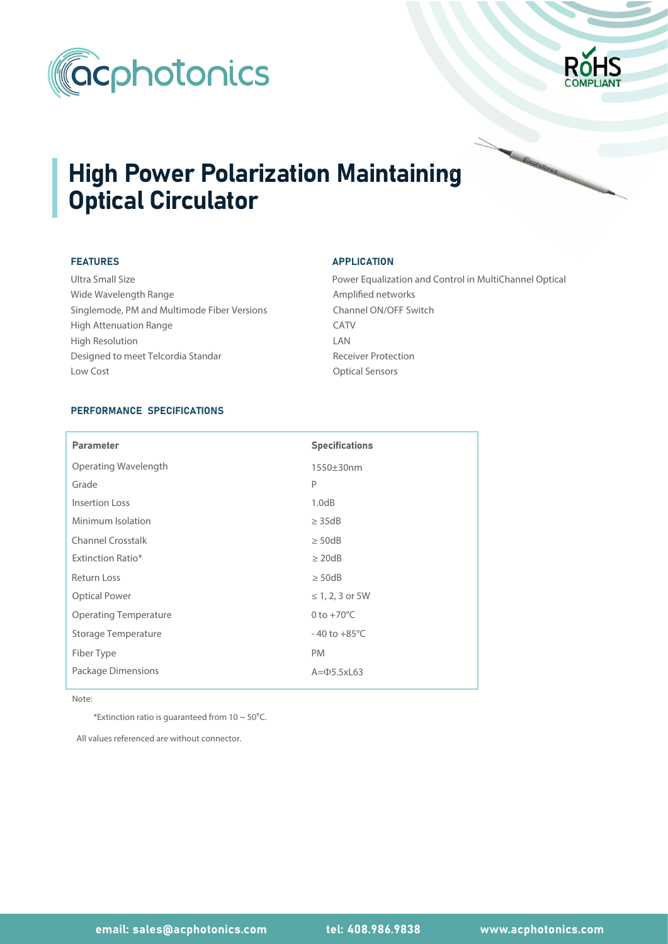



# **High Power Polarization Maintaining** Optical Circulator

### FEATURES

Wide Wavelength Range Ultra Small Size Singlemode, PM and Multimode Fiber Versions High Attenuation Range Designed to meet Telcordia Standar High Resolution Low Cost **Contract Contract Contract Contract Contract Contract Contract Contract Contract Contract Contract Contract Contract Contract Contract Contract Contract Contract Contract Contract Contract Contract Contract Contr** 

## APPLICATION

Power Equalization and Control in MultiChannel Optical Amplified networks Channel ON/OFF Switch CATV LAN Receiver Protection

## PERFORMANCE SPECIFICATIONS

| <b>Parameter</b>             | <b>Specifications</b>    |
|------------------------------|--------------------------|
| Operating Wavelength         | 1550±30nm                |
| Grade                        | P                        |
| Insertion Loss               | 1.0dB                    |
| Minimum Isolation            | $\geq$ 35dB              |
| <b>Channel Crosstalk</b>     | $\geq$ 50dB              |
| <b>Extinction Ratio*</b>     | $\geq$ 20dB              |
| <b>Return Loss</b>           | $\geq$ 50dB              |
| <b>Optical Power</b>         | $\leq 1, 2, 3$ or 5W     |
| <b>Operating Temperature</b> | 0 to $+70^{\circ}$ C     |
| Storage Temperature          | $-40$ to $+85^{\circ}$ C |
| Fiber Type                   | <b>PM</b>                |
| Package Dimensions           | $A = \Phi$ 5.5xL63       |

Note:

\*Extinction ratio is guaranteed from  $10 \sim 50^{\circ}$ C.

All values referenced are without connector.